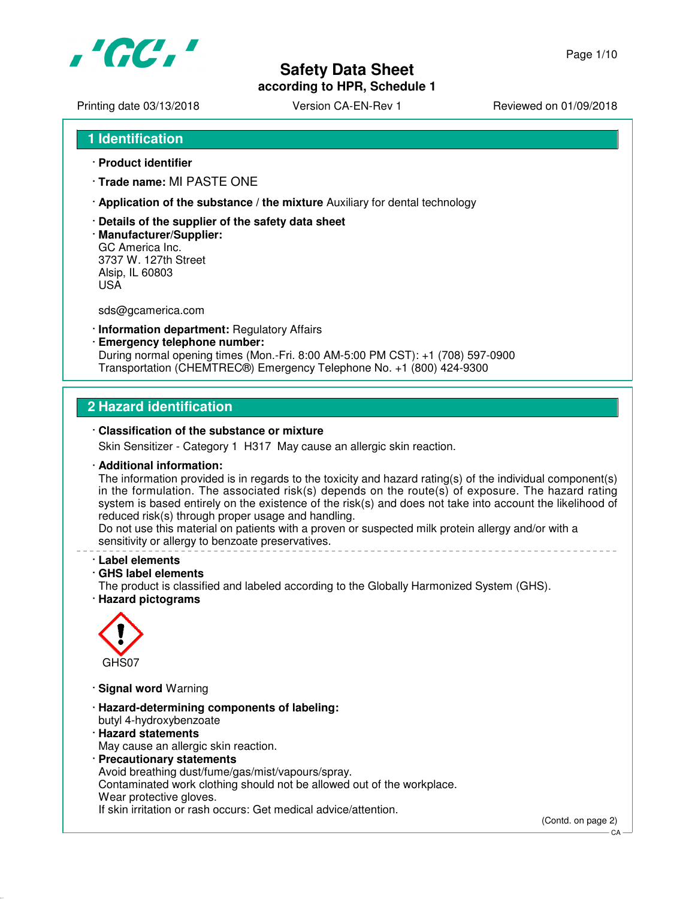

**according to HPR, Schedule 1**

Printing date 03/13/2018 <br>
Version CA-EN-Rev 1 Reviewed on 01/09/2018

- **1 Identification**
- · **Product identifier**
- · **Trade name:** MI PASTE ONE
- · **Application of the substance / the mixture** Auxiliary for dental technology
- · **Details of the supplier of the safety data sheet**
- · **Manufacturer/Supplier:** GC America Inc. 3737 W. 127th Street Alsip, IL 60803 USA

sds@gcamerica.com

- · **Information department:** Regulatory Affairs
- · **Emergency telephone number:** During normal opening times (Mon.-Fri. 8:00 AM-5:00 PM CST): +1 (708) 597-0900 Transportation (CHEMTREC®) Emergency Telephone No. +1 (800) 424-9300

### **2 Hazard identification**

#### · **Classification of the substance or mixture**

Skin Sensitizer - Category 1 H317 May cause an allergic skin reaction.

#### · **Additional information:**

The information provided is in regards to the toxicity and hazard rating(s) of the individual component(s) in the formulation. The associated risk(s) depends on the route(s) of exposure. The hazard rating system is based entirely on the existence of the risk(s) and does not take into account the likelihood of reduced risk(s) through proper usage and handling.

Do not use this material on patients with a proven or suspected milk protein allergy and/or with a sensitivity or allergy to benzoate preservatives.

#### · **Label elements**

#### · **GHS label elements**

The product is classified and labeled according to the Globally Harmonized System (GHS). · **Hazard pictograms**



- · **Signal word** Warning
- · **Hazard-determining components of labeling:** butyl 4-hydroxybenzoate
- · **Hazard statements** May cause an allergic skin reaction.
- · **Precautionary statements** Avoid breathing dust/fume/gas/mist/vapours/spray. Contaminated work clothing should not be allowed out of the workplace. Wear protective gloves. If skin irritation or rash occurs: Get medical advice/attention.

(Contd. on page 2)

 $C.A$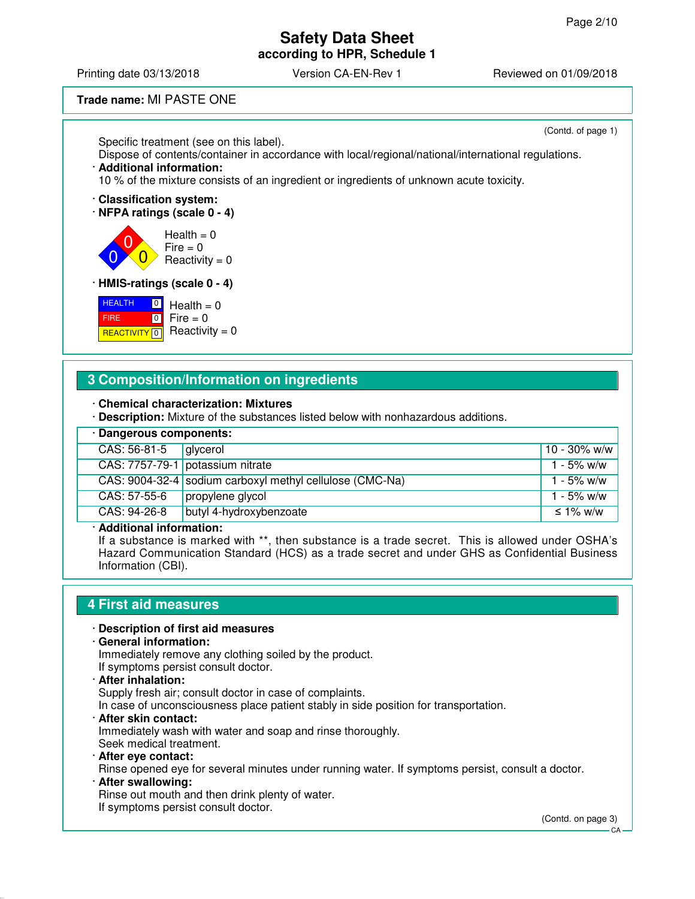**according to HPR, Schedule 1**

Printing date 03/13/2018 **Version CA-EN-Rev 1** Reviewed on 01/09/2018

**Trade name:** MI PASTE ONE

(Contd. of page 1)

Specific treatment (see on this label). Dispose of contents/container in accordance with local/regional/national/international regulations. · **Additional information:**

10 % of the mixture consists of an ingredient or ingredients of unknown acute toxicity.

· **Classification system:**

· **NFPA ratings (scale 0 - 4)**



· **HMIS-ratings (scale 0 - 4)**

**HEALTH**  FIRE <mark>REACTIVITY</mark> 0  $\boxed{0}$  $\boxed{0}$  $Health = 0$ 

 $Fire = 0$ Reactivity  $= 0$ 

### **3 Composition/Information on ingredients**

#### · **Chemical characterization: Mixtures**

· **Description:** Mixture of the substances listed below with nonhazardous additions.

| · Dangerous components: |                                                          |              |  |  |
|-------------------------|----------------------------------------------------------|--------------|--|--|
| CAS: 56-81-5            | alvcerol                                                 | 10 - 30% w/w |  |  |
|                         | CAS: 7757-79-1 potassium nitrate                         | 1 - 5% w/w   |  |  |
|                         | CAS: 9004-32-4 sodium carboxyl methyl cellulose (CMC-Na) | 1 - 5% w/w   |  |  |
| CAS: 57-55-6            | propylene glycol                                         | 1 - 5% w/w   |  |  |
| CAS: 94-26-8            | butyl 4-hydroxybenzoate                                  | ≤ 1% w/w     |  |  |

#### · **Additional information:**

If a substance is marked with \*\*, then substance is a trade secret. This is allowed under OSHA's Hazard Communication Standard (HCS) as a trade secret and under GHS as Confidential Business Information (CBI).

#### **4 First aid measures**

#### · **Description of first aid measures**

· **General information:**

Immediately remove any clothing soiled by the product. If symptoms persist consult doctor.

· **After inhalation:** Supply fresh air; consult doctor in case of complaints. In case of unconsciousness place patient stably in side position for transportation. · **After skin contact:**

Immediately wash with water and soap and rinse thoroughly. Seek medical treatment.

· **After eye contact:**

Rinse opened eye for several minutes under running water. If symptoms persist, consult a doctor. · **After swallowing:**

Rinse out mouth and then drink plenty of water. If symptoms persist consult doctor.

(Contd. on page 3)

CA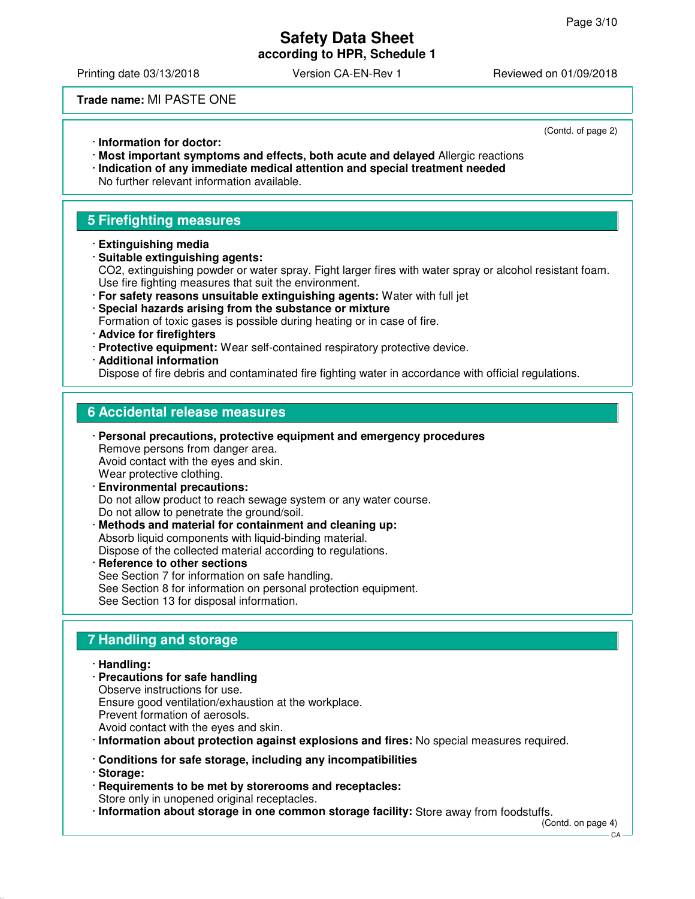**according to HPR, Schedule 1**

Printing date 03/13/2018 Version CA-EN-Rev 1 Reviewed on 01/09/2018

**Trade name:** MI PASTE ONE

(Contd. of page 2)

- · **Information for doctor:**
- · **Most important symptoms and effects, both acute and delayed** Allergic reactions · **Indication of any immediate medical attention and special treatment needed** No further relevant information available.

# **5 Firefighting measures**

- · **Extinguishing media**
- · **Suitable extinguishing agents:** CO2, extinguishing powder or water spray. Fight larger fires with water spray or alcohol resistant foam. Use fire fighting measures that suit the environment.
- · **For safety reasons unsuitable extinguishing agents:** Water with full jet · **Special hazards arising from the substance or mixture** Formation of toxic gases is possible during heating or in case of fire.
- · **Advice for firefighters**
- · **Protective equipment:** Wear self-contained respiratory protective device.
- · **Additional information**

Dispose of fire debris and contaminated fire fighting water in accordance with official regulations.

## **6 Accidental release measures**

- · **Personal precautions, protective equipment and emergency procedures** Remove persons from danger area. Avoid contact with the eyes and skin. Wear protective clothing.
- · **Environmental precautions:** Do not allow product to reach sewage system or any water course. Do not allow to penetrate the ground/soil.
- · **Methods and material for containment and cleaning up:** Absorb liquid components with liquid-binding material. Dispose of the collected material according to regulations. **Reference to other sections**
- See Section 7 for information on safe handling. See Section 8 for information on personal protection equipment. See Section 13 for disposal information.

# **7 Handling and storage**

#### · **Handling:**

- · **Precautions for safe handling** Observe instructions for use. Ensure good ventilation/exhaustion at the workplace.
- Prevent formation of aerosols.
- Avoid contact with the eyes and skin.
- · **Information about protection against explosions and fires:** No special measures required.
- · **Conditions for safe storage, including any incompatibilities**
- · **Storage:**
- · **Requirements to be met by storerooms and receptacles:** Store only in unopened original receptacles.
- · **Information about storage in one common storage facility:** Store away from foodstuffs.

 $CA$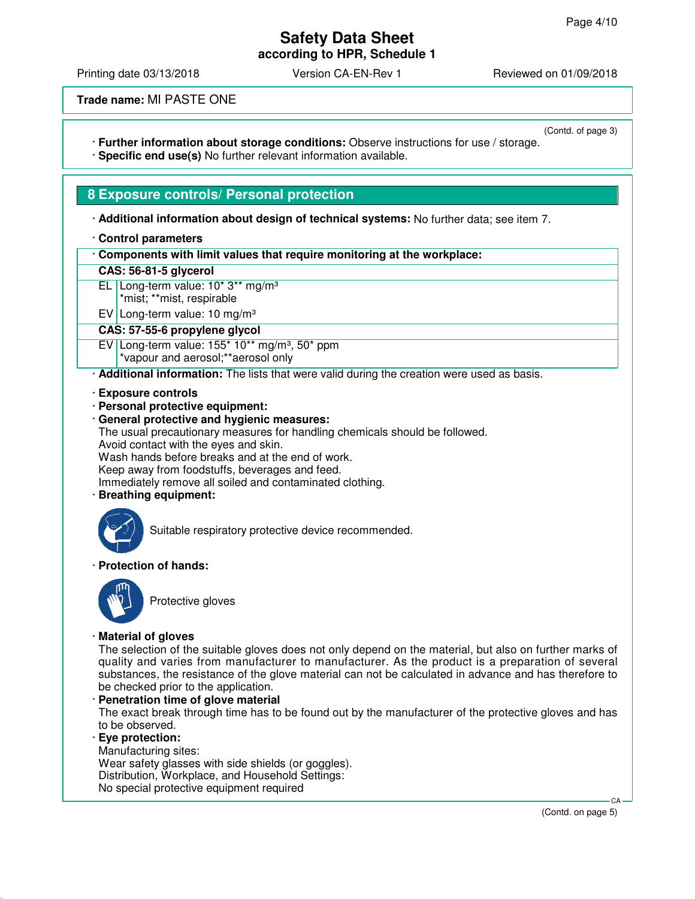**according to HPR, Schedule 1**

Printing date 03/13/2018 Version CA-EN-Rev 1 Reviewed on 01/09/2018

**Trade name:** MI PASTE ONE

(Contd. of page 3) · **Further information about storage conditions:** Observe instructions for use / storage.

· **Specific end use(s)** No further relevant information available.

### **8 Exposure controls/ Personal protection**

· **Additional information about design of technical systems:** No further data; see item 7.

#### · **Control parameters**

| Components with limit values that require monitoring at the workplace: |  |
|------------------------------------------------------------------------|--|
|                                                                        |  |

#### **CAS: 56-81-5 glycerol**

- EL Long-term value: 10\* 3\*\* mg/m³
	- \*mist; \*\*mist, respirable

EV Long-term value: 10 mg/m³

#### **CAS: 57-55-6 propylene glycol**

EV Long-term value:  $155*10**$  mg/m<sup>3</sup>,  $50*$  ppm

\*vapour and aerosol;\*\*aerosol only

· **Additional information:** The lists that were valid during the creation were used as basis.

#### · **Exposure controls**

- · **Personal protective equipment:**
- · **General protective and hygienic measures:**

The usual precautionary measures for handling chemicals should be followed.

Avoid contact with the eyes and skin.

Wash hands before breaks and at the end of work.

Keep away from foodstuffs, beverages and feed.

Immediately remove all soiled and contaminated clothing.

· **Breathing equipment:**



Suitable respiratory protective device recommended.

#### · **Protection of hands:**



Protective gloves

#### · **Material of gloves**

The selection of the suitable gloves does not only depend on the material, but also on further marks of quality and varies from manufacturer to manufacturer. As the product is a preparation of several substances, the resistance of the glove material can not be calculated in advance and has therefore to be checked prior to the application.

· **Penetration time of glove material**

The exact break through time has to be found out by the manufacturer of the protective gloves and has to be observed.

· **Eye protection:** Manufacturing sites:

Wear safety glasses with side shields (or goggles).

Distribution, Workplace, and Household Settings:

No special protective equipment required

(Contd. on page 5)

CA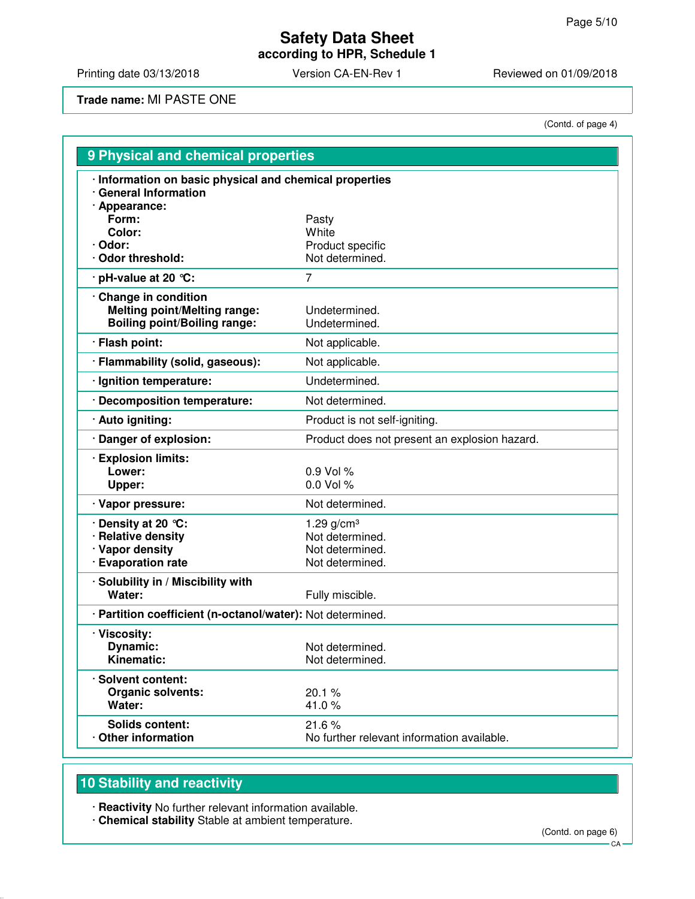# **Safety Data Sheet according to HPR, Schedule 1**

Printing date 03/13/2018 Version CA-EN-Rev 1 Reviewed on 01/09/2018

**Trade name:** MI PASTE ONE

(Contd. of page 4)

| 9 Physical and chemical properties                                                                |                                                     |  |  |  |
|---------------------------------------------------------------------------------------------------|-----------------------------------------------------|--|--|--|
| · Information on basic physical and chemical properties<br>· General Information                  |                                                     |  |  |  |
| · Appearance:<br>Form:                                                                            | Pasty                                               |  |  |  |
| Color:                                                                                            | White                                               |  |  |  |
| · Odor:                                                                                           | Product specific                                    |  |  |  |
| · Odor threshold:                                                                                 | Not determined.                                     |  |  |  |
| · pH-value at 20 ℃:                                                                               | 7                                                   |  |  |  |
| Change in condition<br><b>Melting point/Melting range:</b><br><b>Boiling point/Boiling range:</b> | Undetermined.<br>Undetermined.                      |  |  |  |
| · Flash point:                                                                                    | Not applicable.                                     |  |  |  |
| · Flammability (solid, gaseous):                                                                  | Not applicable.                                     |  |  |  |
| · Ignition temperature:                                                                           | Undetermined.                                       |  |  |  |
| <b>Decomposition temperature:</b>                                                                 | Not determined.                                     |  |  |  |
| · Auto igniting:                                                                                  | Product is not self-igniting.                       |  |  |  |
| · Danger of explosion:                                                                            | Product does not present an explosion hazard.       |  |  |  |
| <b>Explosion limits:</b><br>Lower:<br>Upper:                                                      | 0.9 Vol %<br>0.0 Vol %                              |  |  |  |
| · Vapor pressure:                                                                                 | Not determined.                                     |  |  |  |
| · Density at 20 ℃:                                                                                | 1.29 $g/cm^{3}$                                     |  |  |  |
| · Relative density                                                                                | Not determined.                                     |  |  |  |
| · Vapor density                                                                                   | Not determined.                                     |  |  |  |
| · Evaporation rate                                                                                | Not determined.                                     |  |  |  |
| · Solubility in / Miscibility with<br>Water:                                                      | Fully miscible.                                     |  |  |  |
| · Partition coefficient (n-octanol/water): Not determined.                                        |                                                     |  |  |  |
| · Viscosity:                                                                                      |                                                     |  |  |  |
| Dynamic:                                                                                          | Not determined                                      |  |  |  |
| Kinematic:                                                                                        | Not determined.                                     |  |  |  |
| · Solvent content:                                                                                |                                                     |  |  |  |
| Organic solvents:                                                                                 | 20.1%                                               |  |  |  |
| Water:                                                                                            | 41.0%                                               |  |  |  |
| <b>Solids content:</b><br>Other information                                                       | 21.6%<br>No further relevant information available. |  |  |  |

# **10 Stability and reactivity**

· **Reactivity** No further relevant information available.

· **Chemical stability** Stable at ambient temperature.

(Contd. on page 6)

CA-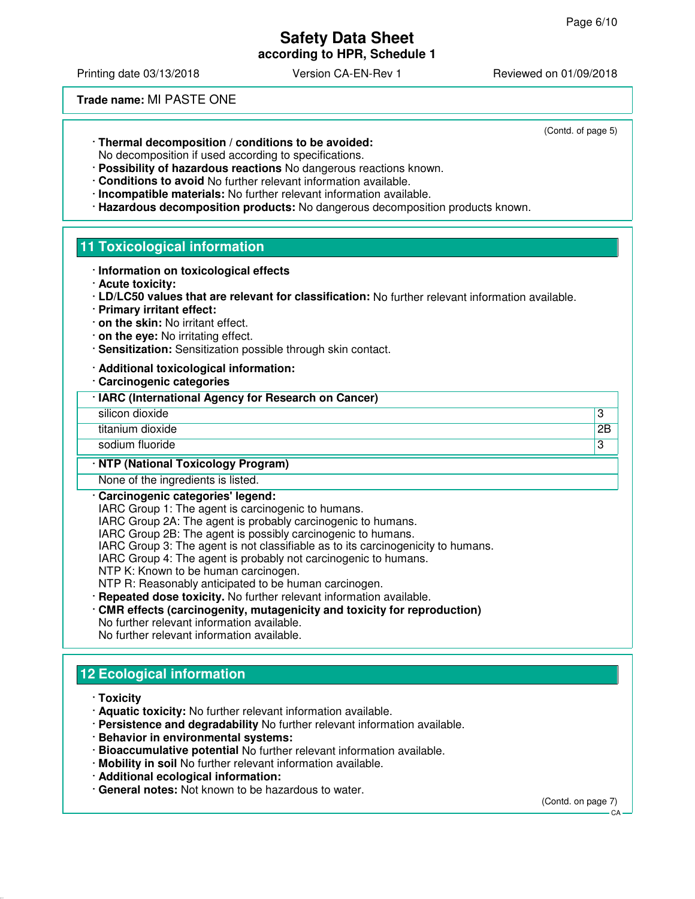(Contd. of page 5)

# **Safety Data Sheet**

**according to HPR, Schedule 1**

Printing date 03/13/2018 Version CA-EN-Rev 1 Reviewed on 01/09/2018

**Trade name:** MI PASTE ONE

· **Thermal decomposition / conditions to be avoided:**

No decomposition if used according to specifications.

- · **Possibility of hazardous reactions** No dangerous reactions known.
- · **Conditions to avoid** No further relevant information available.
- · **Incompatible materials:** No further relevant information available.
- · **Hazardous decomposition products:** No dangerous decomposition products known.

### **11 Toxicological information**

- · **Information on toxicological effects**
- · **Acute toxicity:**
- · **LD/LC50 values that are relevant for classification:** No further relevant information available.
- · **Primary irritant effect:**
- · **on the skin:** No irritant effect.
- · **on the eye:** No irritating effect.
- · **Sensitization:** Sensitization possible through skin contact.
- · **Additional toxicological information:**
- · **Carcinogenic categories**
- · **IARC (International Agency for Research on Cancer)**
- silicon dioxide 33
- titanium dioxide 2B
- sodium fluoride **3**

#### · **NTP (National Toxicology Program)**

None of the ingredients is listed.

#### · **Carcinogenic categories' legend:**

IARC Group 1: The agent is carcinogenic to humans.

IARC Group 2A: The agent is probably carcinogenic to humans.

IARC Group 2B: The agent is possibly carcinogenic to humans.

IARC Group 3: The agent is not classifiable as to its carcinogenicity to humans.

- IARC Group 4: The agent is probably not carcinogenic to humans.
- NTP K: Known to be human carcinogen.

NTP R: Reasonably anticipated to be human carcinogen.

- · **Repeated dose toxicity.** No further relevant information available.
- · **CMR effects (carcinogenity, mutagenicity and toxicity for reproduction)** No further relevant information available. No further relevant information available.

# **12 Ecological information**

- · **Toxicity**
- · **Aquatic toxicity:** No further relevant information available.
- · **Persistence and degradability** No further relevant information available.
- · **Behavior in environmental systems:**
- · **Bioaccumulative potential** No further relevant information available.
- · **Mobility in soil** No further relevant information available.
- · **Additional ecological information:**
- · **General notes:** Not known to be hazardous to water.

(Contd. on page 7)

 $C.A$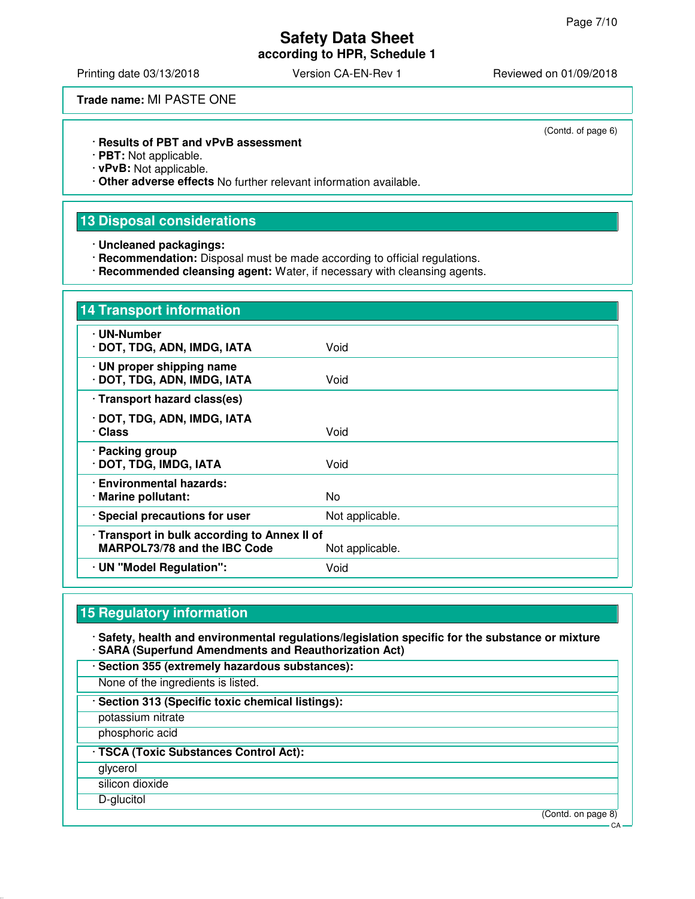(Contd. of page 6)

# **Safety Data Sheet**

**according to HPR, Schedule 1**

Printing date 03/13/2018 **Version CA-EN-Rev 1** Reviewed on 01/09/2018

**Trade name:** MI PASTE ONE

· **Results of PBT and vPvB assessment**

· **PBT:** Not applicable.

· **vPvB:** Not applicable.

· **Other adverse effects** No further relevant information available.

### **13 Disposal considerations**

· **Uncleaned packagings:**

· **Recommendation:** Disposal must be made according to official regulations.

· **Recommended cleansing agent:** Water, if necessary with cleansing agents.

| <b>14 Transport information</b>                                                     |                 |
|-------------------------------------------------------------------------------------|-----------------|
| · UN-Number<br>· DOT, TDG, ADN, IMDG, IATA                                          | Void            |
| · UN proper shipping name<br>· DOT, TDG, ADN, IMDG, IATA                            | Void            |
| · Transport hazard class(es)                                                        |                 |
| · DOT, TDG, ADN, IMDG, IATA<br>· Class                                              | Void            |
| · Packing group<br>· DOT, TDG, IMDG, IATA                                           | Void            |
| · Environmental hazards:<br>· Marine pollutant:                                     | No.             |
| · Special precautions for user                                                      | Not applicable. |
| · Transport in bulk according to Annex II of<br><b>MARPOL73/78 and the IBC Code</b> | Not applicable. |
| · UN "Model Regulation":                                                            | Void            |

# **15 Regulatory information**

· **Safety, health and environmental regulations/legislation specific for the substance or mixture** · **SARA (Superfund Amendments and Reauthorization Act)**

· **Section 355 (extremely hazardous substances):**

None of the ingredients is listed.

· **Section 313 (Specific toxic chemical listings):**

potassium nitrate

phosphoric acid

· **TSCA (Toxic Substances Control Act):**

glycerol

silicon dioxide

D-glucitol

(Contd. on page 8)

 $C.A$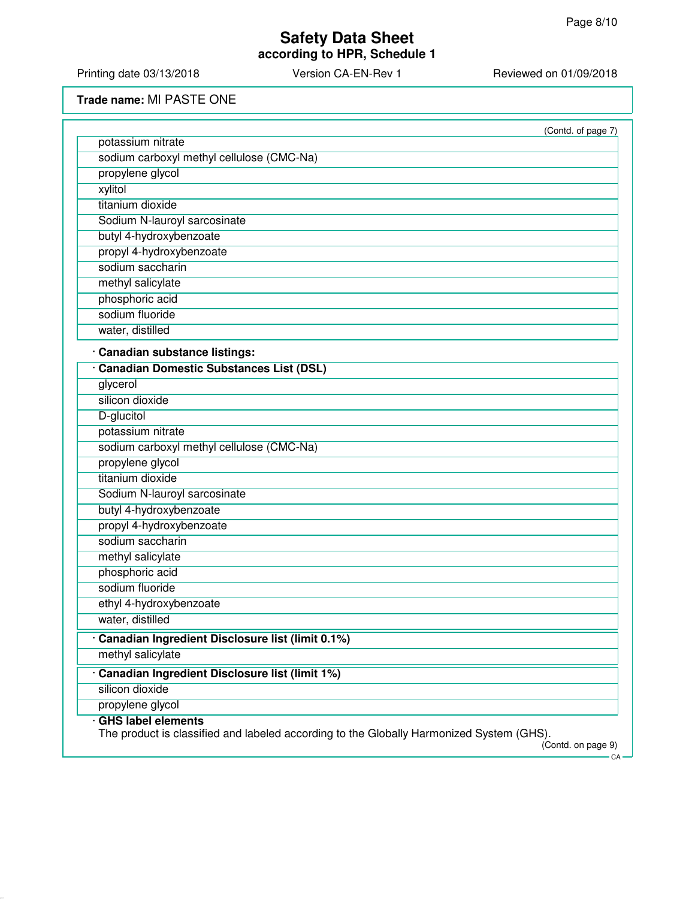**according to HPR, Schedule 1**

Printing date 03/13/2018 Version CA-EN-Rev 1 Reviewed on 01/09/2018

**Trade name:** MI PASTE ONE

| (Contd. of page 7)                                                                                             |
|----------------------------------------------------------------------------------------------------------------|
|                                                                                                                |
|                                                                                                                |
|                                                                                                                |
|                                                                                                                |
|                                                                                                                |
|                                                                                                                |
|                                                                                                                |
|                                                                                                                |
|                                                                                                                |
|                                                                                                                |
|                                                                                                                |
|                                                                                                                |
|                                                                                                                |
|                                                                                                                |
|                                                                                                                |
|                                                                                                                |
|                                                                                                                |
|                                                                                                                |
|                                                                                                                |
|                                                                                                                |
|                                                                                                                |
|                                                                                                                |
|                                                                                                                |
|                                                                                                                |
|                                                                                                                |
|                                                                                                                |
|                                                                                                                |
|                                                                                                                |
|                                                                                                                |
|                                                                                                                |
|                                                                                                                |
|                                                                                                                |
|                                                                                                                |
|                                                                                                                |
|                                                                                                                |
|                                                                                                                |
| The product is classified and labeled according to the Globally Harmonized System (GHS).<br>(Contd. on page 9) |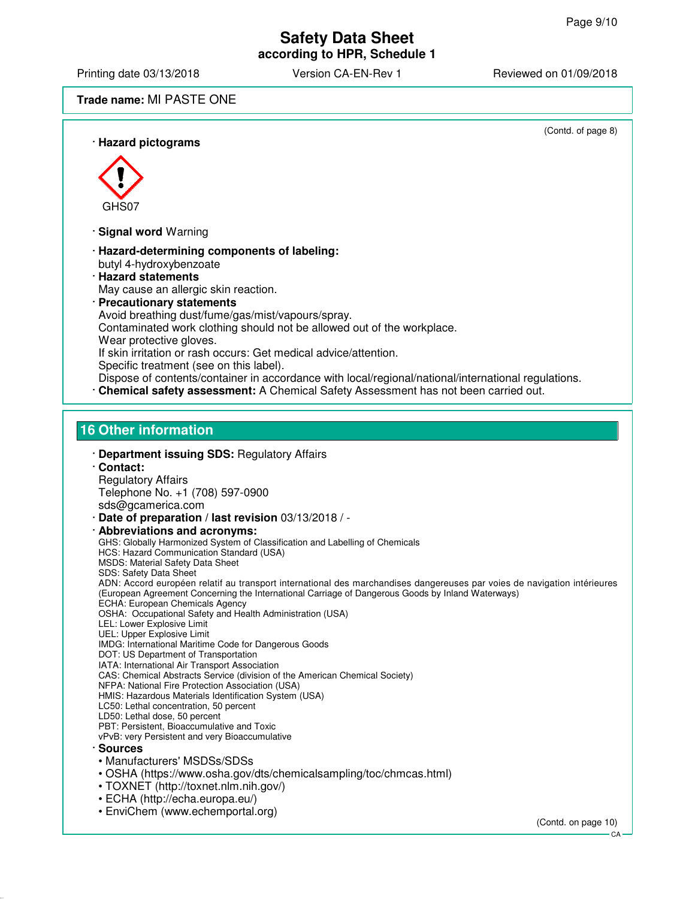## **Safety Data Sheet according to HPR, Schedule 1**

Printing date 03/13/2018 Version CA-EN-Rev 1 Reviewed on 01/09/2018

### **Trade name:** MI PASTE ONE

(Contd. of page 8) · **Hazard pictograms** GHS07 · **Signal word** Warning · **Hazard-determining components of labeling:** butyl 4-hydroxybenzoate · **Hazard statements** May cause an allergic skin reaction. · **Precautionary statements** Avoid breathing dust/fume/gas/mist/vapours/spray. Contaminated work clothing should not be allowed out of the workplace. Wear protective gloves. If skin irritation or rash occurs: Get medical advice/attention. Specific treatment (see on this label). Dispose of contents/container in accordance with local/regional/national/international regulations. · **Chemical safety assessment:** A Chemical Safety Assessment has not been carried out. **16 Other information** · **Department issuing SDS:** Regulatory Affairs · **Contact:** Regulatory Affairs Telephone No. +1 (708) 597-0900 sds@gcamerica.com · **Date of preparation / last revision** 03/13/2018 / - · **Abbreviations and acronyms:** GHS: Globally Harmonized System of Classification and Labelling of Chemicals HCS: Hazard Communication Standard (USA) MSDS: Material Safety Data Sheet SDS: Safety Data Sheet ADN: Accord européen relatif au transport international des marchandises dangereuses par voies de navigation intérieures (European Agreement Concerning the International Carriage of Dangerous Goods by Inland Waterways) ECHA: European Chemicals Agency OSHA: Occupational Safety and Health Administration (USA) LEL: Lower Explosive Limit UEL: Upper Explosive Limit IMDG: International Maritime Code for Dangerous Goods DOT: US Department of Transportation IATA: International Air Transport Association CAS: Chemical Abstracts Service (division of the American Chemical Society) NFPA: National Fire Protection Association (USA) HMIS: Hazardous Materials Identification System (USA) LC50: Lethal concentration, 50 percent LD50: Lethal dose, 50 percent PBT: Persistent, Bioaccumulative and Toxic vPvB: very Persistent and very Bioaccumulative · **Sources** • Manufacturers' MSDSs/SDSs • OSHA (https://www.osha.gov/dts/chemicalsampling/toc/chmcas.html) • TOXNET (http://toxnet.nlm.nih.gov/) • ECHA (http://echa.europa.eu/) • EnviChem (www.echemportal.org) (Contd. on page 10)